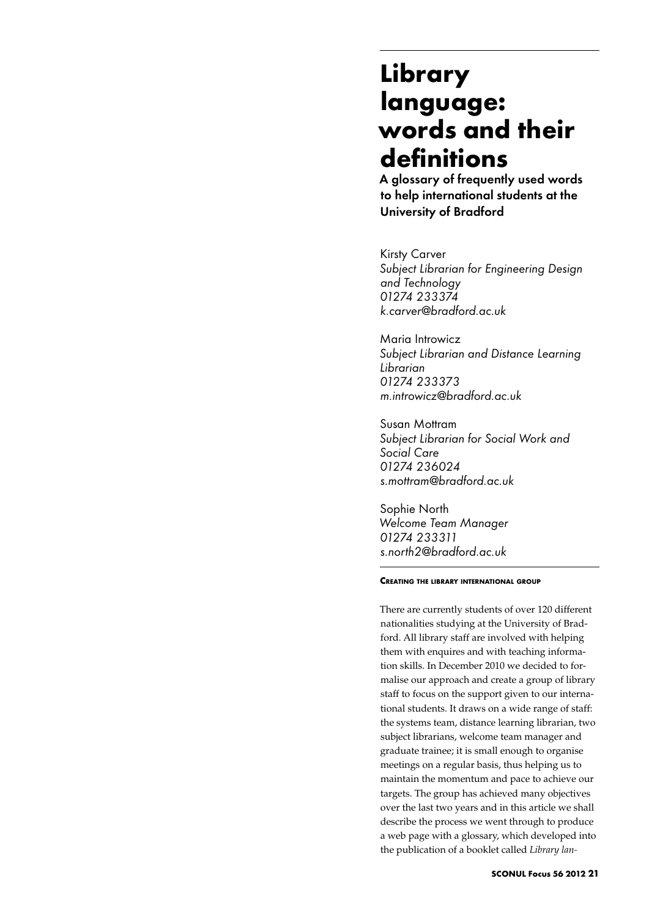# **Library language: words and their definitions**

A glossary of frequently used words to help international students at the University of Bradford

Kirsty Carver *Subject Librarian for Engineering Design and Technology 01274 233374 k.carver@bradford.ac.uk*

Maria Introwicz *Subject Librarian and Distance Learning Librarian 01274 233373 m.introwicz@bradford.ac.uk*

Susan Mottram *Subject Librarian for Social Work and Social Care 01274 236024 s.mottram@bradford.ac.uk*

Sophie North *Welcome Team Manager 01274 233311 s.north2@bradford.ac.uk*

## **Creating the library international group**

There are currently students of over 120 different nationalities studying at the University of Bradford. All library staff are involved with helping them with enquires and with teaching information skills. In December 2010 we decided to formalise our approach and create a group of library staff to focus on the support given to our international students. It draws on a wide range of staff: the systems team, distance learning librarian, two subject librarians, welcome team manager and graduate trainee; it is small enough to organise meetings on a regular basis, thus helping us to maintain the momentum and pace to achieve our targets. The group has achieved many objectives over the last two years and in this article we shall describe the process we went through to produce a web page with a glossary, which developed into the publication of a booklet called *Library lan-*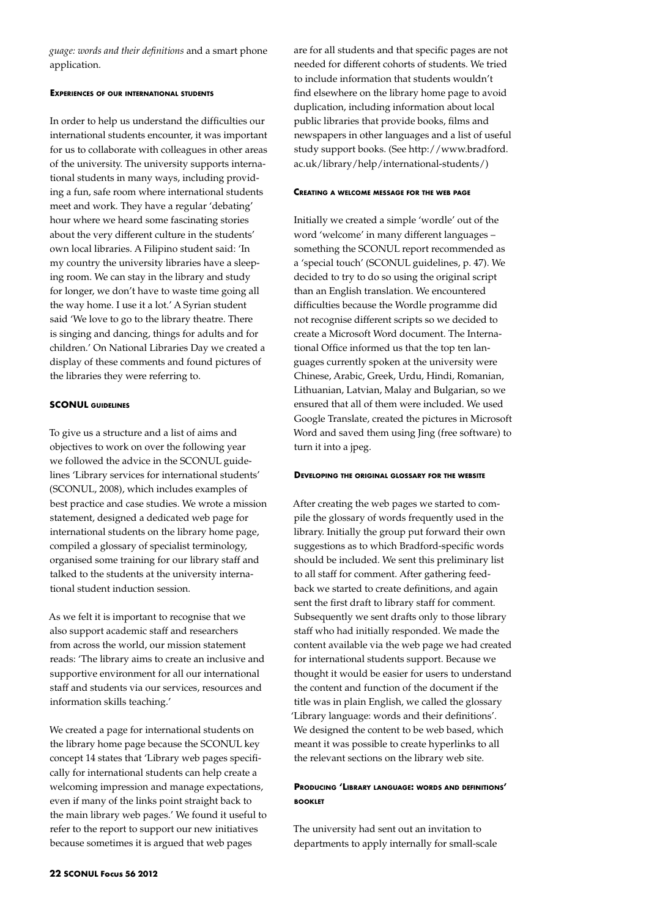*guage: words and their definitions* and a smart phone application.

## **Experiences of our international students**

In order to help us understand the difficulties our international students encounter, it was important for us to collaborate with colleagues in other areas of the university. The university supports international students in many ways, including providing a fun, safe room where international students meet and work. They have a regular 'debating' hour where we heard some fascinating stories about the very different culture in the students' own local libraries. A Filipino student said: 'In my country the university libraries have a sleeping room. We can stay in the library and study for longer, we don't have to waste time going all the way home. I use it a lot.' A Syrian student said 'We love to go to the library theatre. There is singing and dancing, things for adults and for children.' On National Libraries Day we created a display of these comments and found pictures of the libraries they were referring to.

# **SCONUL guidelines**

To give us a structure and a list of aims and objectives to work on over the following year we followed the advice in the SCONUL guidelines 'Library services for international students' (SCONUL, 2008), which includes examples of best practice and case studies. We wrote a mission statement, designed a dedicated web page for international students on the library home page, compiled a glossary of specialist terminology, organised some training for our library staff and talked to the students at the university international student induction session.

As we felt it is important to recognise that we also support academic staff and researchers from across the world, our mission statement reads: 'The library aims to create an inclusive and supportive environment for all our international staff and students via our services, resources and information skills teaching.'

We created a page for international students on the library home page because the SCONUL key concept 14 states that 'Library web pages specifically for international students can help create a welcoming impression and manage expectations, even if many of the links point straight back to the main library web pages.' We found it useful to refer to the report to support our new initiatives because sometimes it is argued that web pages

are for all students and that specific pages are not needed for different cohorts of students. We tried to include information that students wouldn't find elsewhere on the library home page to avoid duplication, including information about local public libraries that provide books, films and newspapers in other languages and a list of useful study support books. (See http://www.bradford. ac.uk/library/help/international-students/)

#### **Creating <sup>a</sup> welcome message for the web page**

Initially we created a simple 'wordle' out of the word 'welcome' in many different languages – something the SCONUL report recommended as a 'special touch' (SCONUL guidelines, p. 47). We decided to try to do so using the original script than an English translation. We encountered difficulties because the Wordle programme did not recognise different scripts so we decided to create a Microsoft Word document. The International Office informed us that the top ten languages currently spoken at the university were Chinese, Arabic, Greek, Urdu, Hindi, Romanian, Lithuanian, Latvian, Malay and Bulgarian, so we ensured that all of them were included. We used Google Translate, created the pictures in Microsoft Word and saved them using Jing (free software) to turn it into a jpeg.

## **Developing the original glossary for the website**

After creating the web pages we started to compile the glossary of words frequently used in the library. Initially the group put forward their own suggestions as to which Bradford-specific words should be included. We sent this preliminary list to all staff for comment. After gathering feedback we started to create definitions, and again sent the first draft to library staff for comment. Subsequently we sent drafts only to those library staff who had initially responded. We made the content available via the web page we had created for international students support. Because we thought it would be easier for users to understand the content and function of the document if the title was in plain English, we called the glossary 'Library language: words and their definitions'. We designed the content to be web based, which meant it was possible to create hyperlinks to all the relevant sections on the library web site.

# **Producing 'Library language: words and definitions' booklet**

The university had sent out an invitation to departments to apply internally for small-scale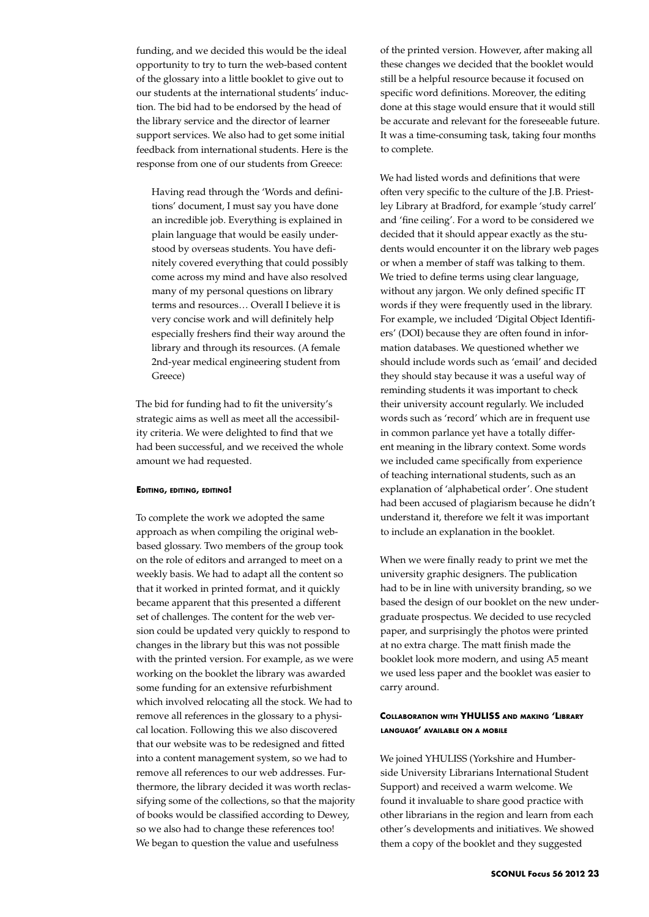funding, and we decided this would be the ideal opportunity to try to turn the web-based content of the glossary into a little booklet to give out to our students at the international students' induction. The bid had to be endorsed by the head of the library service and the director of learner support services. We also had to get some initial feedback from international students. Here is the response from one of our students from Greece:

Having read through the 'Words and definitions' document, I must say you have done an incredible job. Everything is explained in plain language that would be easily understood by overseas students. You have definitely covered everything that could possibly come across my mind and have also resolved many of my personal questions on library terms and resources… Overall I believe it is very concise work and will definitely help especially freshers find their way around the library and through its resources. (A female 2nd-year medical engineering student from Greece)

The bid for funding had to fit the university's strategic aims as well as meet all the accessibility criteria. We were delighted to find that we had been successful, and we received the whole amount we had requested.

## **Editing, editing, editing!**

To complete the work we adopted the same approach as when compiling the original webbased glossary. Two members of the group took on the role of editors and arranged to meet on a weekly basis. We had to adapt all the content so that it worked in printed format, and it quickly became apparent that this presented a different set of challenges. The content for the web version could be updated very quickly to respond to changes in the library but this was not possible with the printed version. For example, as we were working on the booklet the library was awarded some funding for an extensive refurbishment which involved relocating all the stock. We had to remove all references in the glossary to a physical location. Following this we also discovered that our website was to be redesigned and fitted into a content management system, so we had to remove all references to our web addresses. Furthermore, the library decided it was worth reclassifying some of the collections, so that the majority of books would be classified according to Dewey, so we also had to change these references too! We began to question the value and usefulness

of the printed version. However, after making all these changes we decided that the booklet would still be a helpful resource because it focused on specific word definitions. Moreover, the editing done at this stage would ensure that it would still be accurate and relevant for the foreseeable future. It was a time-consuming task, taking four months to complete.

We had listed words and definitions that were often very specific to the culture of the J.B. Priestley Library at Bradford, for example 'study carrel' and 'fine ceiling'. For a word to be considered we decided that it should appear exactly as the students would encounter it on the library web pages or when a member of staff was talking to them. We tried to define terms using clear language, without any jargon. We only defined specific IT words if they were frequently used in the library. For example, we included 'Digital Object Identifiers' (DOI) because they are often found in information databases. We questioned whether we should include words such as 'email' and decided they should stay because it was a useful way of reminding students it was important to check their university account regularly. We included words such as 'record' which are in frequent use in common parlance yet have a totally different meaning in the library context. Some words we included came specifically from experience of teaching international students, such as an explanation of 'alphabetical order'. One student had been accused of plagiarism because he didn't understand it, therefore we felt it was important to include an explanation in the booklet.

When we were finally ready to print we met the university graphic designers. The publication had to be in line with university branding, so we based the design of our booklet on the new undergraduate prospectus. We decided to use recycled paper, and surprisingly the photos were printed at no extra charge. The matt finish made the booklet look more modern, and using A5 meant we used less paper and the booklet was easier to carry around.

# **Collaboration with YHULISS and making 'Library language' available on a mobile**

We joined YHULISS (Yorkshire and Humberside University Librarians International Student Support) and received a warm welcome. We found it invaluable to share good practice with other librarians in the region and learn from each other's developments and initiatives. We showed them a copy of the booklet and they suggested